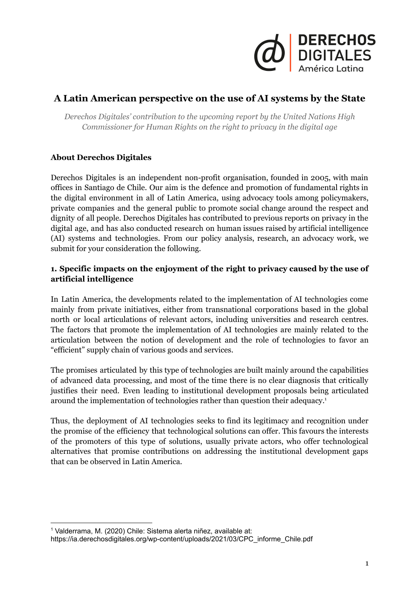

# **A Latin American perspective on the use of AI systems by the State**

*Derechos Digitales' contribution to the upcoming report by the United Nations High Commissioner for Human Rights on the right to privacy in the digital age*

## **About Derechos Digitales**

Derechos Digitales is an independent non-profit organisation, founded in 2005, with main offices in Santiago de Chile. Our aim is the defence and promotion of fundamental rights in the digital environment in all of Latin America, using advocacy tools among policymakers, private companies and the general public to promote social change around the respect and dignity of all people. Derechos Digitales has contributed to previous reports on privacy in the digital age, and has also conducted research on human issues raised by artificial intelligence (AI) systems and technologies. From our policy analysis, research, an advocacy work, we submit for your consideration the following.

# **1. Specific impacts on the enjoyment of the right to privacy caused by the use of artificial intelligence**

In Latin America, the developments related to the implementation of AI technologies come mainly from private initiatives, either from transnational corporations based in the global north or local articulations of relevant actors, including universities and research centres. The factors that promote the implementation of AI technologies are mainly related to the articulation between the notion of development and the role of technologies to favor an "efficient" supply chain of various goods and services.

The promises articulated by this type of technologies are built mainly around the capabilities of advanced data processing, and most of the time there is no clear diagnosis that critically justifies their need. Even leading to institutional development proposals being articulated around the implementation of technologies rather than question their adequacy. 1

Thus, the deployment of AI technologies seeks to find its legitimacy and recognition under the promise of the efficiency that technological solutions can offer. This favours the interests of the promoters of this type of solutions, usually private actors, who offer technological alternatives that promise contributions on addressing the institutional development gaps that can be observed in Latin America.

<sup>1</sup> Valderrama, M. (2020) Chile: Sistema alerta niñez, available at: https://ia.derechosdigitales.org/wp-content/uploads/2021/03/CPC\_informe\_Chile.pdf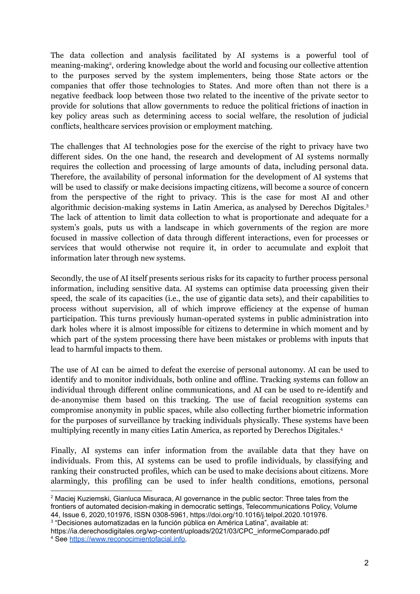The data collection and analysis facilitated by AI systems is a powerful tool of meaning-making 2 , ordering knowledge about the world and focusing our collective attention to the purposes served by the system implementers, being those State actors or the companies that offer those technologies to States. And more often than not there is a negative feedback loop between those two related to the incentive of the private sector to provide for solutions that allow governments to reduce the political frictions of inaction in key policy areas such as determining access to social welfare, the resolution of judicial conflicts, healthcare services provision or employment matching.

The challenges that AI technologies pose for the exercise of the right to privacy have two different sides. On the one hand, the research and development of AI systems normally requires the collection and processing of large amounts of data, including personal data. Therefore, the availability of personal information for the development of AI systems that will be used to classify or make decisions impacting citizens, will become a source of concern from the perspective of the right to privacy. This is the case for most AI and other algorithmic decision-making systems in Latin America, as analysed by Derechos Digitales. 3 The lack of attention to limit data collection to what is proportionate and adequate for a system's goals, puts us with a landscape in which governments of the region are more focused in massive collection of data through different interactions, even for processes or services that would otherwise not require it, in order to accumulate and exploit that information later through new systems.

Secondly, the use of AI itself presents serious risks for its capacity to further process personal information, including sensitive data. AI systems can optimise data processing given their speed, the scale of its capacities (i.e., the use of gigantic data sets), and their capabilities to process without supervision, all of which improve efficiency at the expense of human participation. This turns previously human-operated systems in public administration into dark holes where it is almost impossible for citizens to determine in which moment and by which part of the system processing there have been mistakes or problems with inputs that lead to harmful impacts to them.

The use of AI can be aimed to defeat the exercise of personal autonomy. AI can be used to identify and to monitor individuals, both online and offline. Tracking systems can follow an individual through different online communications, and AI can be used to re-identify and de-anonymise them based on this tracking. The use of facial recognition systems can compromise anonymity in public spaces, while also collecting further biometric information for the purposes of surveillance by tracking individuals physically. These systems have been multiplying recently in many cities Latin America, as reported by Derechos Digitales. 4

Finally, AI systems can infer information from the available data that they have on individuals. From this, AI systems can be used to profile individuals, by classifying and ranking their constructed profiles, which can be used to make decisions about citizens. More alarmingly, this profiling can be used to infer health conditions, emotions, personal

3 "Decisiones automatizadas en la función pública en América Latina", available at:

 $2$  Maciei Kuziemski, Gianluca Misuraca, AI governance in the public sector: Three tales from the frontiers of automated decision-making in democratic settings, Telecommunications Policy, Volume 44, Issue 6, 2020,101976, ISSN 0308-5961, https://doi.org/10.1016/j.telpol.2020.101976.

<sup>4</sup> See [https://www.reconocimientofacial.info.](https://www.reconocimientofacial.info) https://ia.derechosdigitales.org/wp-content/uploads/2021/03/CPC\_informeComparado.pdf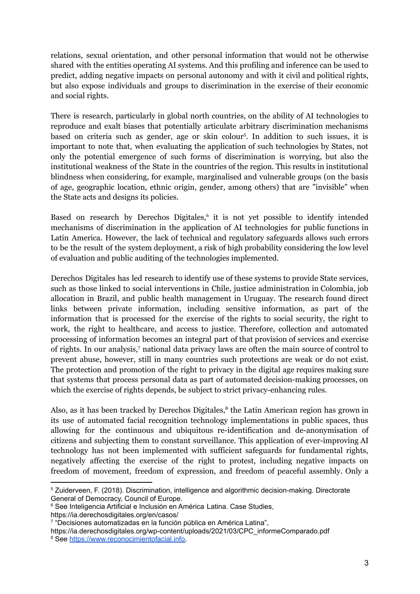relations, sexual orientation, and other personal information that would not be otherwise shared with the entities operating AI systems. And this profiling and inference can be used to predict, adding negative impacts on personal autonomy and with it civil and political rights, but also expose individuals and groups to discrimination in the exercise of their economic and social rights.

There is research, particularly in global north countries, on the ability of AI technologies to reproduce and exalt biases that potentially articulate arbitrary discrimination mechanisms based on criteria such as gender, age or skin colour 5 . In addition to such issues, it is important to note that, when evaluating the application of such technologies by States, not only the potential emergence of such forms of discrimination is worrying, but also the institutional weakness of the State in the countries of the region. This results in institutional blindness when considering, for example, marginalised and vulnerable groups (on the basis of age, geographic location, ethnic origin, gender, among others) that are "invisible" when the State acts and designs its policies.

Based on research by Derechos Digitales, 6 it is not yet possible to identify intended mechanisms of discrimination in the application of AI technologies for public functions in Latin America. However, the lack of technical and regulatory safeguards allows such errors to be the result of the system deployment, a risk of high probability considering the low level of evaluation and public auditing of the technologies implemented.

Derechos Digitales has led research to identify use of these systems to provide State services, such as those linked to social interventions in Chile, justice administration in Colombia, job allocation in Brazil, and public health management in Uruguay. The research found direct links between private information, including sensitive information, as part of the information that is processed for the exercise of the rights to social security, the right to work, the right to healthcare, and access to justice. Therefore, collection and automated processing of information becomes an integral part of that provision of services and exercise of rights. In our analysis, <sup>7</sup> national data privacy laws are often the main source of control to prevent abuse, however, still in many countries such protections are weak or do not exist. The protection and promotion of the right to privacy in the digital age requires making sure that systems that process personal data as part of automated decision-making processes, on which the exercise of rights depends, be subject to strict privacy-enhancing rules.

Also, as it has been tracked by Derechos Digitales, 8 the Latin American region has grown in its use of automated facial recognition technology implementations in public spaces, thus allowing for the continuous and ubiquitous re-identification and de-anonymisation of citizens and subjecting them to constant surveillance. This application of ever-improving AI technology has not been implemented with sufficient safeguards for fundamental rights, negatively affecting the exercise of the right to protest, including negative impacts on freedom of movement, freedom of expression, and freedom of peaceful assembly. Only a

<sup>5</sup> Zuiderveen, F. (2018). Discrimination, intelligence and algorithmic decision-making. Directorate General of Democracy, Council of Europe.

<sup>6</sup> See Inteligencia Artificial e Inclusión en América Latina. Case Studies,

https://ia.derechosdigitales.org/en/casos/

<sup>&</sup>lt;sup>7</sup> "Decisiones automatizadas en la función pública en América Latina",

<sup>&</sup>lt;sup>8</sup> See [https://www.reconocimientofacial.info.](https://www.reconocimientofacial.info) https://ia.derechosdigitales.org/wp-content/uploads/2021/03/CPC\_informeComparado.pdf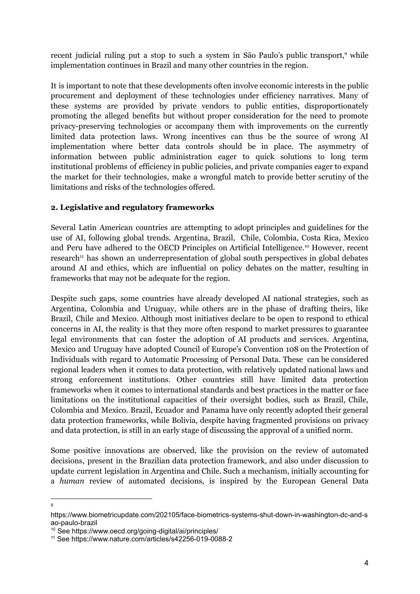recent judicial ruling put a stop to such a system in São Paulo's public transport,<sup>9</sup> while implementation continues in Brazil and many other countries in the region.

It is important to note that these developments often involve economic interests in the public procurement and deployment of these technologies under efficiency narratives. Many of these systems are provided by private vendors to public entities, disproportionately promoting the alleged benefits but without proper consideration for the need to promote privacy-preserving technologies or accompany them with improvements on the currently limited data protection laws. Wrong incentives can thus be the source of wrong AI implementation where better data controls should be in place. The asymmetry of information between public administration eager to quick solutions to long term institutional problems of efficiency in public policies, and private companies eager to expand the market for their technologies, make a wrongful match to provide better scrutiny of the limitations and risks of the technologies offered.

#### **2. Legislative and regulatory frameworks**

Several Latin American countries are attempting to adopt principles and guidelines for the use of AI, following global trends. Argentina, Brazil, Chile, Colombia, Costa Rica, Mexico and Peru have adhered to the OECD Principles on Artificial Intelligence. <sup>10</sup> However, recent research<sup>11</sup> has shown an underrepresentation of global south perspectives in global debates around AI and ethics, which are influential on policy debates on the matter, resulting in frameworks that may not be adequate for the region.

Despite such gaps, some countries have already developed AI national strategies, such as Argentina, Colombia and Uruguay, while others are in the phase of drafting theirs, like Brazil, Chile and Mexico. Although most initiatives declare to be open to respond to ethical concerns in AI, the reality is that they more often respond to market pressures to guarantee legal environments that can foster the adoption of AI products and services. Argentina, Mexico and Uruguay have adopted Council of Europe's Convention 108 on the Protection of Individuals with regard to Automatic Processing of Personal Data. These can be considered regional leaders when it comes to data protection, with relatively updated national laws and strong enforcement institutions. Other countries still have limited data protection frameworks when it comes to international standards and best practices in the matter or face limitations on the institutional capacities of their oversight bodies, such as Brazil, Chile, Colombia and Mexico. Brazil, Ecuador and Panama have only recently adopted their general data protection frameworks, while Bolivia, despite having fragmented provisions on privacy and data protection, is still in an early stage of discussing the approval of a unified norm.

Some positive innovations are observed, like the provision on the review of automated decisions, present in the Brazilian data protection framework, and also under discussion to update current legislation in Argentina and Chile. Such a mechanism, initially accounting for a *human* review of automated decisions, is inspired by the European General Data

9

https://www.biometricupdate.com/202105/face-biometrics-systems-shut-down-in-washington-dc-and-s ao-paulo-brazil

<sup>10</sup> See https://www.oecd.org/going-digital/ai/principles/

<sup>11</sup> See https://www.nature.com/articles/s42256-019-0088-2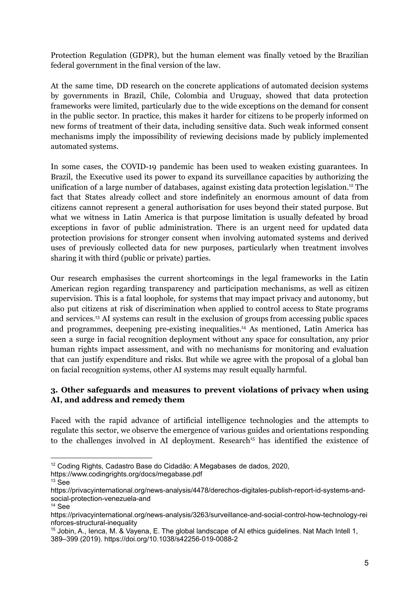Protection Regulation (GDPR), but the human element was finally vetoed by the Brazilian federal government in the final version of the law.

At the same time, DD research on the concrete applications of automated decision systems by governments in Brazil, Chile, Colombia and Uruguay, showed that data protection frameworks were limited, particularly due to the wide exceptions on the demand for consent in the public sector. In practice, this makes it harder for citizens to be properly informed on new forms of treatment of their data, including sensitive data. Such weak informed consent mechanisms imply the impossibility of reviewing decisions made by publicly implemented automated systems.

In some cases, the COVID-19 pandemic has been used to weaken existing guarantees. In Brazil, the Executive used its power to expand its surveillance capacities by authorizing the unification of a large number of databases, against existing data protection legislation. <sup>12</sup> The fact that States already collect and store indefinitely an enormous amount of data from citizens cannot represent a general authorisation for uses beyond their stated purpose. But what we witness in Latin America is that purpose limitation is usually defeated by broad exceptions in favor of public administration. There is an urgent need for updated data protection provisions for stronger consent when involving automated systems and derived uses of previously collected data for new purposes, particularly when treatment involves sharing it with third (public or private) parties.

Our research emphasises the current shortcomings in the legal frameworks in the Latin American region regarding transparency and participation mechanisms, as well as citizen supervision. This is a fatal loophole, for systems that may impact privacy and autonomy, but also put citizens at risk of discrimination when applied to control access to State programs and services. <sup>13</sup> AI systems can result in the exclusion of groups from accessing public spaces and programmes, deepening pre-existing inequalities. <sup>14</sup> As mentioned, Latin America has seen a surge in facial recognition deployment without any space for consultation, any prior human rights impact assessment, and with no mechanisms for monitoring and evaluation that can justify expenditure and risks. But while we agree with the proposal of a global ban on facial recognition systems, other AI systems may result equally harmful.

## **3. Other safeguards and measures to prevent violations of privacy when using AI, and address and remedy them**

Faced with the rapid advance of artificial intelligence technologies and the attempts to regulate this sector, we observe the emergence of various guides and orientations responding to the challenges involved in AI deployment. Research <sup>15</sup> has identified the existence of

<sup>12</sup> Coding Rights, Cadastro Base do Cidadão: A Megabases de dados, 2020,

https://www.codingrights.org/docs/megabase.pdf

<sup>13</sup> See

https://privacyinternational.org/news-analysis/4478/derechos-digitales-publish-report-id-systems-andsocial-protection-venezuela-and

<sup>14</sup> See

https://privacyinternational.org/news-analysis/3263/surveillance-and-social-control-how-technology-rei nforces-structural-inequality

<sup>&</sup>lt;sup>15</sup> Jobin, A., Ienca, M. & Vayena, E. The global landscape of AI ethics guidelines. Nat Mach Intell 1, 389–399 (2019). https://doi.org/10.1038/s42256-019-0088-2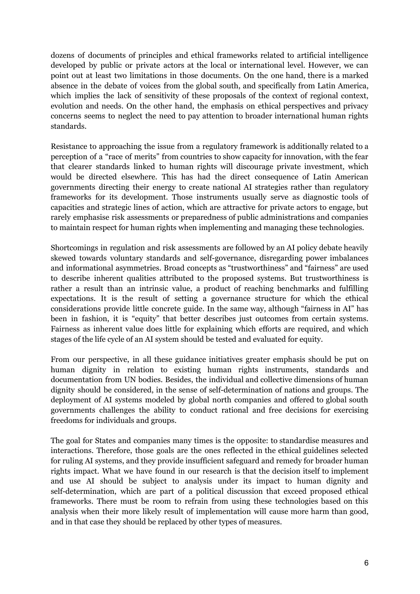dozens of documents of principles and ethical frameworks related to artificial intelligence developed by public or private actors at the local or international level. However, we can point out at least two limitations in those documents. On the one hand, there is a marked absence in the debate of voices from the global south, and specifically from Latin America, which implies the lack of sensitivity of these proposals of the context of regional context, evolution and needs. On the other hand, the emphasis on ethical perspectives and privacy concerns seems to neglect the need to pay attention to broader international human rights standards.

Resistance to approaching the issue from a regulatory framework is additionally related to a perception of a "race of merits" from countries to show capacity for innovation, with the fear that clearer standards linked to human rights will discourage private investment, which would be directed elsewhere. This has had the direct consequence of Latin American governments directing their energy to create national AI strategies rather than regulatory frameworks for its development. Those instruments usually serve as diagnostic tools of capacities and strategic lines of action, which are attractive for private actors to engage, but rarely emphasise risk assessments or preparedness of public administrations and companies to maintain respect for human rights when implementing and managing these technologies.

Shortcomings in regulation and risk assessments are followed by an AI policy debate heavily skewed towards voluntary standards and self-governance, disregarding power imbalances and informational asymmetries. Broad concepts as "trustworthiness" and "fairness" are used to describe inherent qualities attributed to the proposed systems. But trustworthiness is rather a result than an intrinsic value, a product of reaching benchmarks and fulfilling expectations. It is the result of setting a governance structure for which the ethical considerations provide little concrete guide. In the same way, although "fairness in AI" has been in fashion, it is "equity" that better describes just outcomes from certain systems. Fairness as inherent value does little for explaining which efforts are required, and which stages of the life cycle of an AI system should be tested and evaluated for equity.

From our perspective, in all these guidance initiatives greater emphasis should be put on human dignity in relation to existing human rights instruments, standards and documentation from UN bodies. Besides, the individual and collective dimensions of human dignity should be considered, in the sense of self-determination of nations and groups. The deployment of AI systems modeled by global north companies and offered to global south governments challenges the ability to conduct rational and free decisions for exercising freedoms for individuals and groups.

The goal for States and companies many times is the opposite: to standardise measures and interactions. Therefore, those goals are the ones reflected in the ethical guidelines selected for ruling AI systems, and they provide insufficient safeguard and remedy for broader human rights impact. What we have found in our research is that the decision itself to implement and use AI should be subject to analysis under its impact to human dignity and self-determination, which are part of a political discussion that exceed proposed ethical frameworks. There must be room to refrain from using these technologies based on this analysis when their more likely result of implementation will cause more harm than good, and in that case they should be replaced by other types of measures.